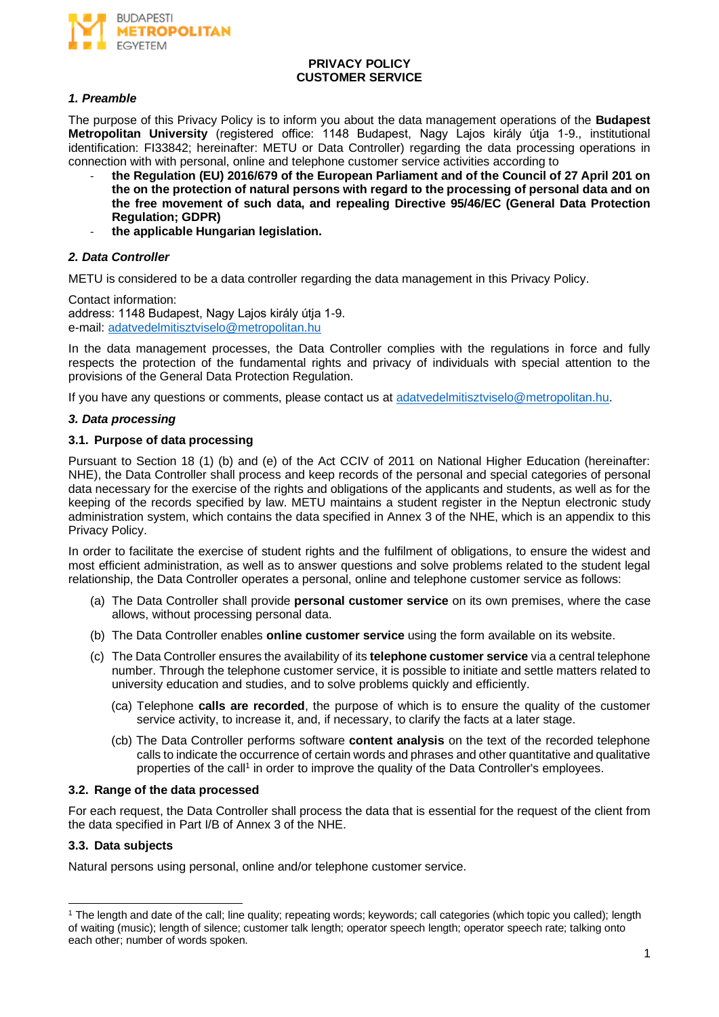

### **PRIVACY POLICY CUSTOMER SERVICE**

# *1. Preamble*

The purpose of this Privacy Policy is to inform you about the data management operations of the **Budapest Metropolitan University** (registered office: 1148 Budapest, Nagy Lajos király útja 1-9., institutional identification: FI33842; hereinafter: METU or Data Controller) regarding the data processing operations in connection with with personal, online and telephone customer service activities according to

- **the Regulation (EU) 2016/679 of the European Parliament and of the Council of 27 April 201 on the on the protection of natural persons with regard to the processing of personal data and on the free movement of such data, and repealing Directive 95/46/EC (General Data Protection Regulation; GDPR)**
- **the applicable Hungarian legislation.**

# *2. Data Controller*

METU is considered to be a data controller regarding the data management in this Privacy Policy.

Contact information: address: 1148 Budapest, Nagy Lajos király útja 1-9. e-mail: [adatvedelmitisztviselo@metropolitan.hu](mailto:adatvedelmitisztviselo@metropolitan.hu)

In the data management processes, the Data Controller complies with the regulations in force and fully respects the protection of the fundamental rights and privacy of individuals with special attention to the provisions of the General Data Protection Regulation.

If you have any questions or comments, please contact us at [adatvedelmitisztviselo@metropolitan.hu.](mailto:adatvedelmitisztviselo@metropolitan.hu)

# *3. Data processing*

# **3.1. Purpose of data processing**

Pursuant to Section 18 (1) (b) and (e) of the Act CCIV of 2011 on National Higher Education (hereinafter: NHE), the Data Controller shall process and keep records of the personal and special categories of personal data necessary for the exercise of the rights and obligations of the applicants and students, as well as for the keeping of the records specified by law. METU maintains a student register in the Neptun electronic study administration system, which contains the data specified in Annex 3 of the NHE, which is an appendix to this Privacy Policy.

In order to facilitate the exercise of student rights and the fulfilment of obligations, to ensure the widest and most efficient administration, as well as to answer questions and solve problems related to the student legal relationship, the Data Controller operates a personal, online and telephone customer service as follows:

- (a) The Data Controller shall provide **personal customer service** on its own premises, where the case allows, without processing personal data.
- (b) The Data Controller enables **online customer service** using the form available on its website.
- (c) The Data Controller ensures the availability of its **telephone customer service** via a central telephone number. Through the telephone customer service, it is possible to initiate and settle matters related to university education and studies, and to solve problems quickly and efficiently.
	- (ca) Telephone **calls are recorded**, the purpose of which is to ensure the quality of the customer service activity, to increase it, and, if necessary, to clarify the facts at a later stage.
	- (cb) The Data Controller performs software **content analysis** on the text of the recorded telephone calls to indicate the occurrence of certain words and phrases and other quantitative and qualitative properties of the call<sup>1</sup> in order to improve the quality of the Data Controller's employees.

# **3.2. Range of the data processed**

For each request, the Data Controller shall process the data that is essential for the request of the client from the data specified in Part I/B of Annex 3 of the NHE.

# **3.3. Data subjects**

Natural persons using personal, online and/or telephone customer service.

<sup>1</sup> The length and date of the call; line quality; repeating words; keywords; call categories (which topic you called); length of waiting (music); length of silence; customer talk length; operator speech length; operator speech rate; talking onto each other; number of words spoken.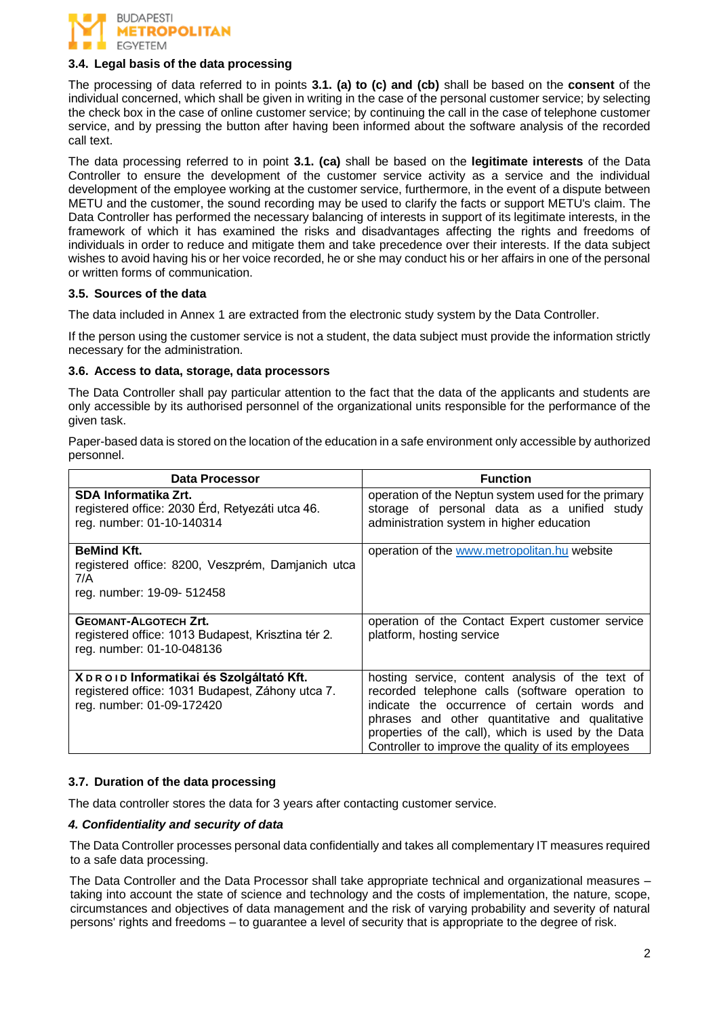

# **3.4. Legal basis of the data processing**

The processing of data referred to in points **3.1. (a) to (c) and (cb)** shall be based on the **consent** of the individual concerned, which shall be given in writing in the case of the personal customer service; by selecting the check box in the case of online customer service; by continuing the call in the case of telephone customer service, and by pressing the button after having been informed about the software analysis of the recorded call text.

The data processing referred to in point **3.1. (ca)** shall be based on the **legitimate interests** of the Data Controller to ensure the development of the customer service activity as a service and the individual development of the employee working at the customer service, furthermore, in the event of a dispute between METU and the customer, the sound recording may be used to clarify the facts or support METU's claim. The Data Controller has performed the necessary balancing of interests in support of its legitimate interests, in the framework of which it has examined the risks and disadvantages affecting the rights and freedoms of individuals in order to reduce and mitigate them and take precedence over their interests. If the data subject wishes to avoid having his or her voice recorded, he or she may conduct his or her affairs in one of the personal or written forms of communication.

### **3.5. Sources of the data**

The data included in Annex 1 are extracted from the electronic study system by the Data Controller.

If the person using the customer service is not a student, the data subject must provide the information strictly necessary for the administration.

### **3.6. Access to data, storage, data processors**

The Data Controller shall pay particular attention to the fact that the data of the applicants and students are only accessible by its authorised personnel of the organizational units responsible for the performance of the given task.

Paper-based data is stored on the location of the education in a safe environment only accessible by authorized personnel.

| Data Processor                                                                                                                | <b>Function</b>                                                                                                                                                                                                                                                                                                   |
|-------------------------------------------------------------------------------------------------------------------------------|-------------------------------------------------------------------------------------------------------------------------------------------------------------------------------------------------------------------------------------------------------------------------------------------------------------------|
| SDA Informatika Zrt.<br>registered office: 2030 Érd, Retyezáti utca 46.<br>reg. number: 01-10-140314                          | operation of the Neptun system used for the primary<br>storage of personal data as a unified study<br>administration system in higher education                                                                                                                                                                   |
| <b>BeMind Kft.</b><br>registered office: 8200, Veszprém, Damjanich utca<br>7/A<br>reg. number: 19-09- 512458                  | operation of the www.metropolitan.hu website                                                                                                                                                                                                                                                                      |
| <b>GEOMANT-ALGOTECH Zrt.</b><br>registered office: 1013 Budapest, Krisztina tér 2.<br>reg. number: 01-10-048136               | operation of the Contact Expert customer service<br>platform, hosting service                                                                                                                                                                                                                                     |
| X D R O I D Informatikai és Szolgáltató Kft.<br>registered office: 1031 Budapest, Záhony utca 7.<br>reg. number: 01-09-172420 | hosting service, content analysis of the text of<br>recorded telephone calls (software operation to<br>indicate the occurrence of certain words and<br>phrases and other quantitative and qualitative<br>properties of the call), which is used by the Data<br>Controller to improve the quality of its employees |

### **3.7. Duration of the data processing**

The data controller stores the data for 3 years after contacting customer service.

### *4. Confidentiality and security of data*

The Data Controller processes personal data confidentially and takes all complementary IT measures required to a safe data processing.

The Data Controller and the Data Processor shall take appropriate technical and organizational measures – taking into account the state of science and technology and the costs of implementation, the nature, scope, circumstances and objectives of data management and the risk of varying probability and severity of natural persons' rights and freedoms – to guarantee a level of security that is appropriate to the degree of risk.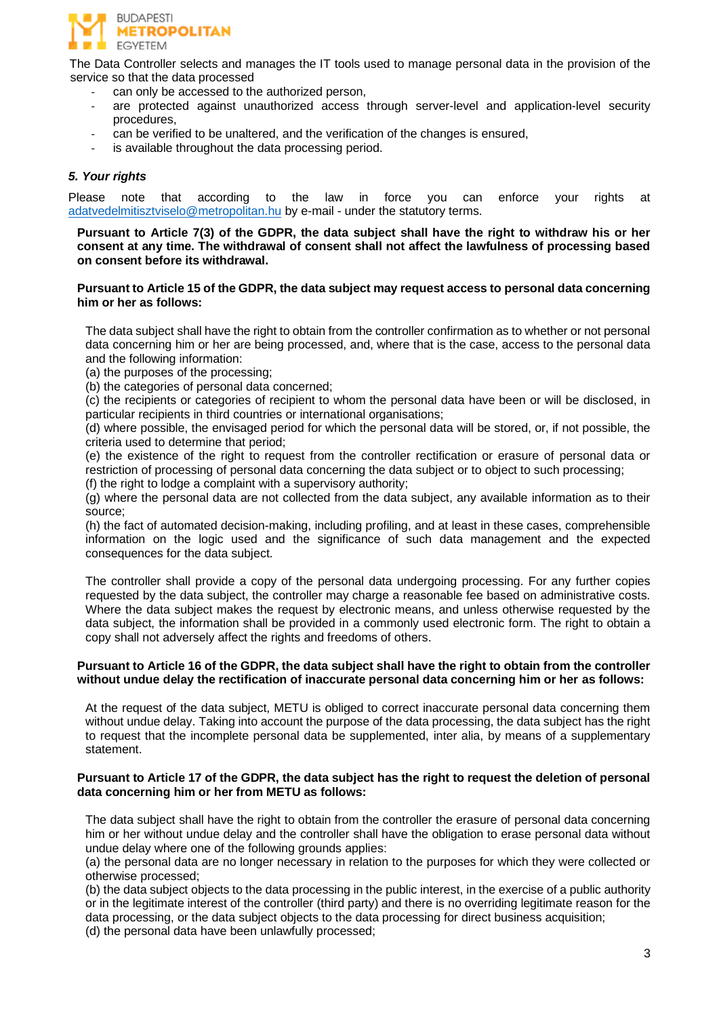

The Data Controller selects and manages the IT tools used to manage personal data in the provision of the service so that the data processed

- can only be accessed to the authorized person.
- are protected against unauthorized access through server-level and application-level security procedures,
- can be verified to be unaltered, and the verification of the changes is ensured,
- is available throughout the data processing period.

## *5. Your rights*

Please note that according to the law in force you can enforce your rights at [adatvedelmitisztviselo@metropolitan.hu](mailto:adatvedelmitisztviselo@metropolitan.hu) by e-mail - under the statutory terms.

**Pursuant to Article 7(3) of the GDPR, the data subject shall have the right to withdraw his or her consent at any time. The withdrawal of consent shall not affect the lawfulness of processing based on consent before its withdrawal.**

## **Pursuant to Article 15 of the GDPR, the data subject may request access to personal data concerning him or her as follows:**

The data subject shall have the right to obtain from the controller confirmation as to whether or not personal data concerning him or her are being processed, and, where that is the case, access to the personal data and the following information:

(a) the purposes of the processing;

(b) the categories of personal data concerned;

(c) the recipients or categories of recipient to whom the personal data have been or will be disclosed, in particular recipients in third countries or international organisations;

(d) where possible, the envisaged period for which the personal data will be stored, or, if not possible, the criteria used to determine that period;

(e) the existence of the right to request from the controller rectification or erasure of personal data or restriction of processing of personal data concerning the data subject or to object to such processing; (f) the right to lodge a complaint with a supervisory authority;

(g) where the personal data are not collected from the data subject, any available information as to their source;

(h) the fact of automated decision-making, including profiling, and at least in these cases, comprehensible information on the logic used and the significance of such data management and the expected consequences for the data subject.

The controller shall provide a copy of the personal data undergoing processing. For any further copies requested by the data subject, the controller may charge a reasonable fee based on administrative costs. Where the data subject makes the request by electronic means, and unless otherwise requested by the data subject, the information shall be provided in a commonly used electronic form. The right to obtain a copy shall not adversely affect the rights and freedoms of others.

### **Pursuant to Article 16 of the GDPR, the data subject shall have the right to obtain from the controller without undue delay the rectification of inaccurate personal data concerning him or her as follows:**

At the request of the data subject, METU is obliged to correct inaccurate personal data concerning them without undue delay. Taking into account the purpose of the data processing, the data subject has the right to request that the incomplete personal data be supplemented, inter alia, by means of a supplementary statement.

### **Pursuant to Article 17 of the GDPR, the data subject has the right to request the deletion of personal data concerning him or her from METU as follows:**

The data subject shall have the right to obtain from the controller the erasure of personal data concerning him or her without undue delay and the controller shall have the obligation to erase personal data without undue delay where one of the following grounds applies:

(a) the personal data are no longer necessary in relation to the purposes for which they were collected or otherwise processed;

(b) the data subject objects to the data processing in the public interest, in the exercise of a public authority or in the legitimate interest of the controller (third party) and there is no overriding legitimate reason for the data processing, or the data subject objects to the data processing for direct business acquisition; (d) the personal data have been unlawfully processed;

3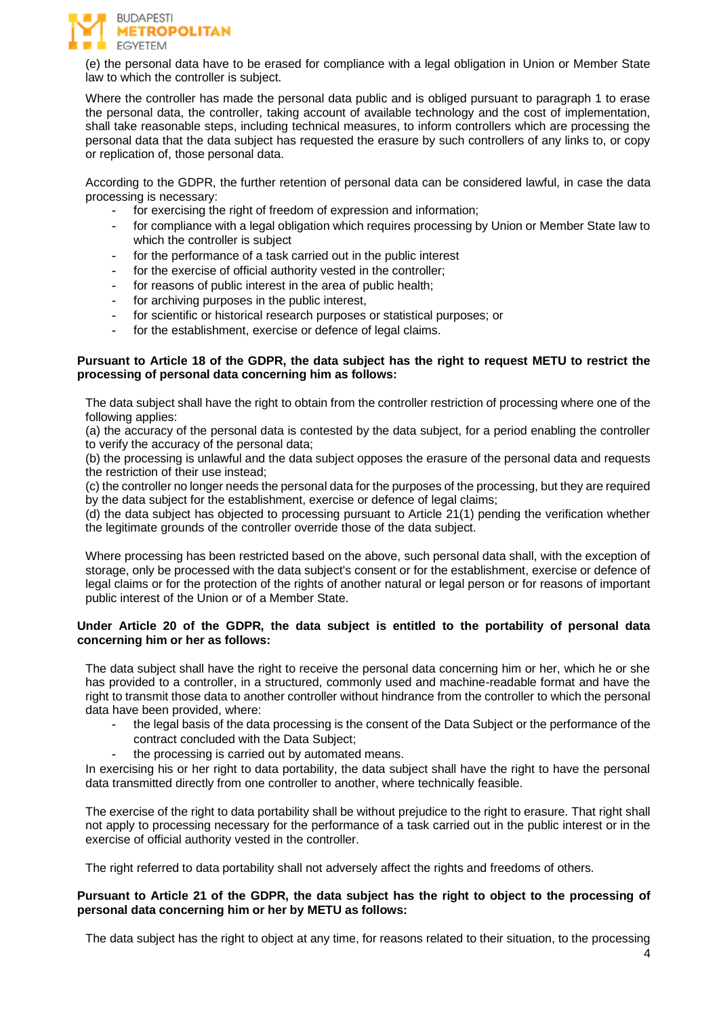

(e) the personal data have to be erased for compliance with a legal obligation in Union or Member State law to which the controller is subject.

Where the controller has made the personal data public and is obliged pursuant to paragraph 1 to erase the personal data, the controller, taking account of available technology and the cost of implementation, shall take reasonable steps, including technical measures, to inform controllers which are processing the personal data that the data subject has requested the erasure by such controllers of any links to, or copy or replication of, those personal data.

According to the GDPR, the further retention of personal data can be considered lawful, in case the data processing is necessary:

- for exercising the right of freedom of expression and information:
- for compliance with a legal obligation which requires processing by Union or Member State law to which the controller is subject
- for the performance of a task carried out in the public interest
- for the exercise of official authority vested in the controller;
- for reasons of public interest in the area of public health;
- for archiving purposes in the public interest,
- for scientific or historical research purposes or statistical purposes; or
- for the establishment, exercise or defence of legal claims.

## **Pursuant to Article 18 of the GDPR, the data subject has the right to request METU to restrict the processing of personal data concerning him as follows:**

The data subject shall have the right to obtain from the controller restriction of processing where one of the following applies:

(a) the accuracy of the personal data is contested by the data subject, for a period enabling the controller to verify the accuracy of the personal data;

(b) the processing is unlawful and the data subject opposes the erasure of the personal data and requests the restriction of their use instead;

(c) the controller no longer needs the personal data for the purposes of the processing, but they are required by the data subject for the establishment, exercise or defence of legal claims;

(d) the data subject has objected to processing pursuant to Article 21(1) pending the verification whether the legitimate grounds of the controller override those of the data subject.

Where processing has been restricted based on the above, such personal data shall, with the exception of storage, only be processed with the data subject's consent or for the establishment, exercise or defence of legal claims or for the protection of the rights of another natural or legal person or for reasons of important public interest of the Union or of a Member State.

# **Under Article 20 of the GDPR, the data subject is entitled to the portability of personal data concerning him or her as follows:**

The data subject shall have the right to receive the personal data concerning him or her, which he or she has provided to a controller, in a structured, commonly used and machine-readable format and have the right to transmit those data to another controller without hindrance from the controller to which the personal data have been provided, where:

- the legal basis of the data processing is the consent of the Data Subject or the performance of the contract concluded with the Data Subject;
- the processing is carried out by automated means.

In exercising his or her right to data portability, the data subject shall have the right to have the personal data transmitted directly from one controller to another, where technically feasible.

The exercise of the right to data portability shall be without prejudice to the right to erasure. That right shall not apply to processing necessary for the performance of a task carried out in the public interest or in the exercise of official authority vested in the controller.

The right referred to data portability shall not adversely affect the rights and freedoms of others.

# **Pursuant to Article 21 of the GDPR, the data subject has the right to object to the processing of personal data concerning him or her by METU as follows:**

The data subject has the right to object at any time, for reasons related to their situation, to the processing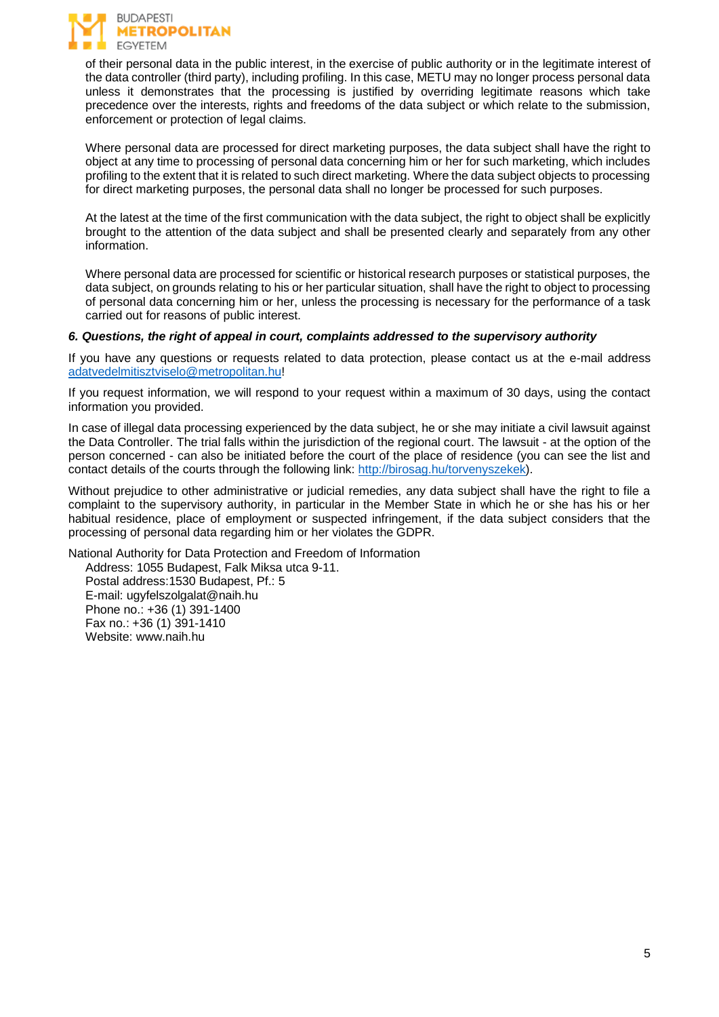

of their personal data in the public interest, in the exercise of public authority or in the legitimate interest of the data controller (third party), including profiling. In this case, METU may no longer process personal data unless it demonstrates that the processing is justified by overriding legitimate reasons which take precedence over the interests, rights and freedoms of the data subject or which relate to the submission, enforcement or protection of legal claims.

Where personal data are processed for direct marketing purposes, the data subject shall have the right to object at any time to processing of personal data concerning him or her for such marketing, which includes profiling to the extent that it is related to such direct marketing. Where the data subject objects to processing for direct marketing purposes, the personal data shall no longer be processed for such purposes.

At the latest at the time of the first communication with the data subject, the right to object shall be explicitly brought to the attention of the data subject and shall be presented clearly and separately from any other information.

Where personal data are processed for scientific or historical research purposes or statistical purposes, the data subject, on grounds relating to his or her particular situation, shall have the right to object to processing of personal data concerning him or her, unless the processing is necessary for the performance of a task carried out for reasons of public interest.

# *6. Questions, the right of appeal in court, complaints addressed to the supervisory authority*

If you have any questions or requests related to data protection, please contact us at the e-mail address [adatvedelmitisztviselo@metropolitan.hu!](mailto:adatvedelmitisztviselo@metropolitan.hu)

If you request information, we will respond to your request within a maximum of 30 days, using the contact information you provided.

In case of illegal data processing experienced by the data subject, he or she may initiate a civil lawsuit against the Data Controller. The trial falls within the jurisdiction of the regional court. The lawsuit - at the option of the person concerned - can also be initiated before the court of the place of residence (you can see the list and contact details of the courts through the following link: [http://birosag.hu/torvenyszekek\)](http://birosag.hu/torvenyszekek).

Without prejudice to other administrative or judicial remedies, any data subject shall have the right to file a complaint to the supervisory authority, in particular in the Member State in which he or she has his or her habitual residence, place of employment or suspected infringement, if the data subject considers that the processing of personal data regarding him or her violates the GDPR.

National Authority for Data Protection and Freedom of Information

Address: 1055 Budapest, Falk Miksa utca 9-11. Postal address:1530 Budapest, Pf.: 5 E-mail: ugyfelszolgalat@naih.hu Phone no.: +36 (1) 391-1400 Fax no.: +36 (1) 391-1410 Website: www.naih.hu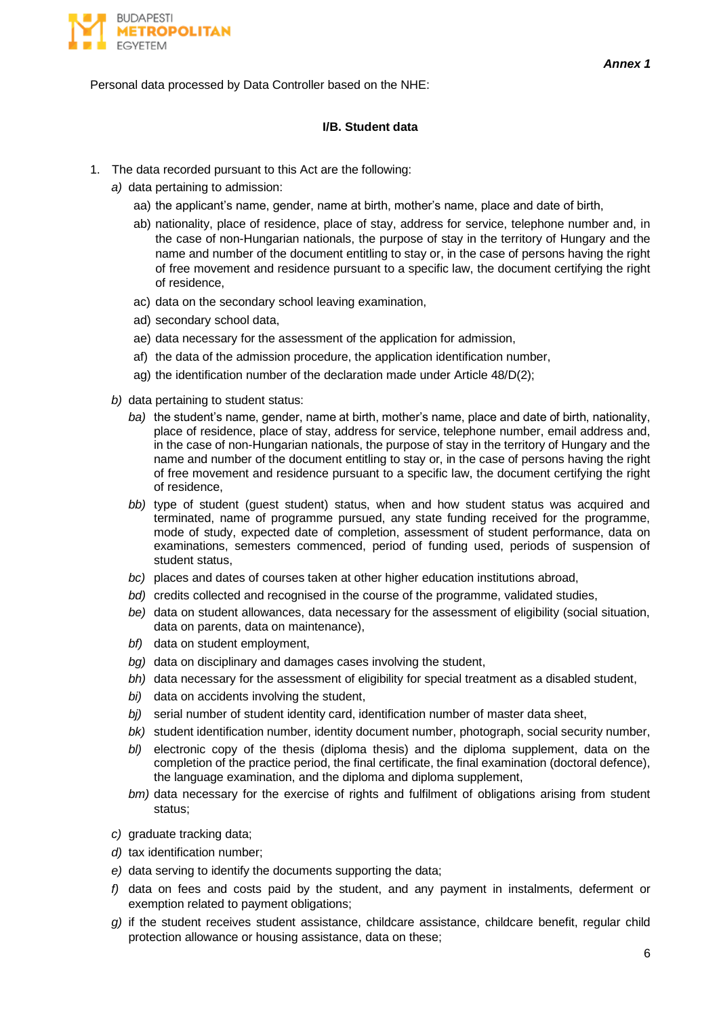

Personal data processed by Data Controller based on the NHE:

# **I/B. Student data**

- 1. The data recorded pursuant to this Act are the following:
	- *a)* data pertaining to admission:
		- aa) the applicant's name, gender, name at birth, mother's name, place and date of birth,
		- ab) nationality, place of residence, place of stay, address for service, telephone number and, in the case of non-Hungarian nationals, the purpose of stay in the territory of Hungary and the name and number of the document entitling to stay or, in the case of persons having the right of free movement and residence pursuant to a specific law, the document certifying the right of residence,
		- ac) data on the secondary school leaving examination,
		- ad) secondary school data,
		- ae) data necessary for the assessment of the application for admission,
		- af) the data of the admission procedure, the application identification number,
		- ag) the identification number of the declaration made under Article 48/D(2);
	- *b)* data pertaining to student status:
		- *ba)* the student's name, gender, name at birth, mother's name, place and date of birth, nationality, place of residence, place of stay, address for service, telephone number, email address and, in the case of non-Hungarian nationals, the purpose of stay in the territory of Hungary and the name and number of the document entitling to stay or, in the case of persons having the right of free movement and residence pursuant to a specific law, the document certifying the right of residence,
		- *bb)* type of student (guest student) status, when and how student status was acquired and terminated, name of programme pursued, any state funding received for the programme, mode of study, expected date of completion, assessment of student performance, data on examinations, semesters commenced, period of funding used, periods of suspension of student status,
		- *bc)* places and dates of courses taken at other higher education institutions abroad,
		- *bd)* credits collected and recognised in the course of the programme, validated studies,
		- *be)* data on student allowances, data necessary for the assessment of eligibility (social situation, data on parents, data on maintenance),
		- *bf)* data on student employment,
		- *bg)* data on disciplinary and damages cases involving the student,
		- *bh)* data necessary for the assessment of eligibility for special treatment as a disabled student,
		- *bi)* data on accidents involving the student,
		- *bj)* serial number of student identity card, identification number of master data sheet,
		- *bk)* student identification number, identity document number, photograph, social security number,
		- *bl)* electronic copy of the thesis (diploma thesis) and the diploma supplement, data on the completion of the practice period, the final certificate, the final examination (doctoral defence), the language examination, and the diploma and diploma supplement,
		- *bm)* data necessary for the exercise of rights and fulfilment of obligations arising from student status;
	- *c)* graduate tracking data;
	- *d)* tax identification number;
	- *e)* data serving to identify the documents supporting the data;
	- *f)* data on fees and costs paid by the student, and any payment in instalments, deferment or exemption related to payment obligations;
	- *g)* if the student receives student assistance, childcare assistance, childcare benefit, regular child protection allowance or housing assistance, data on these;